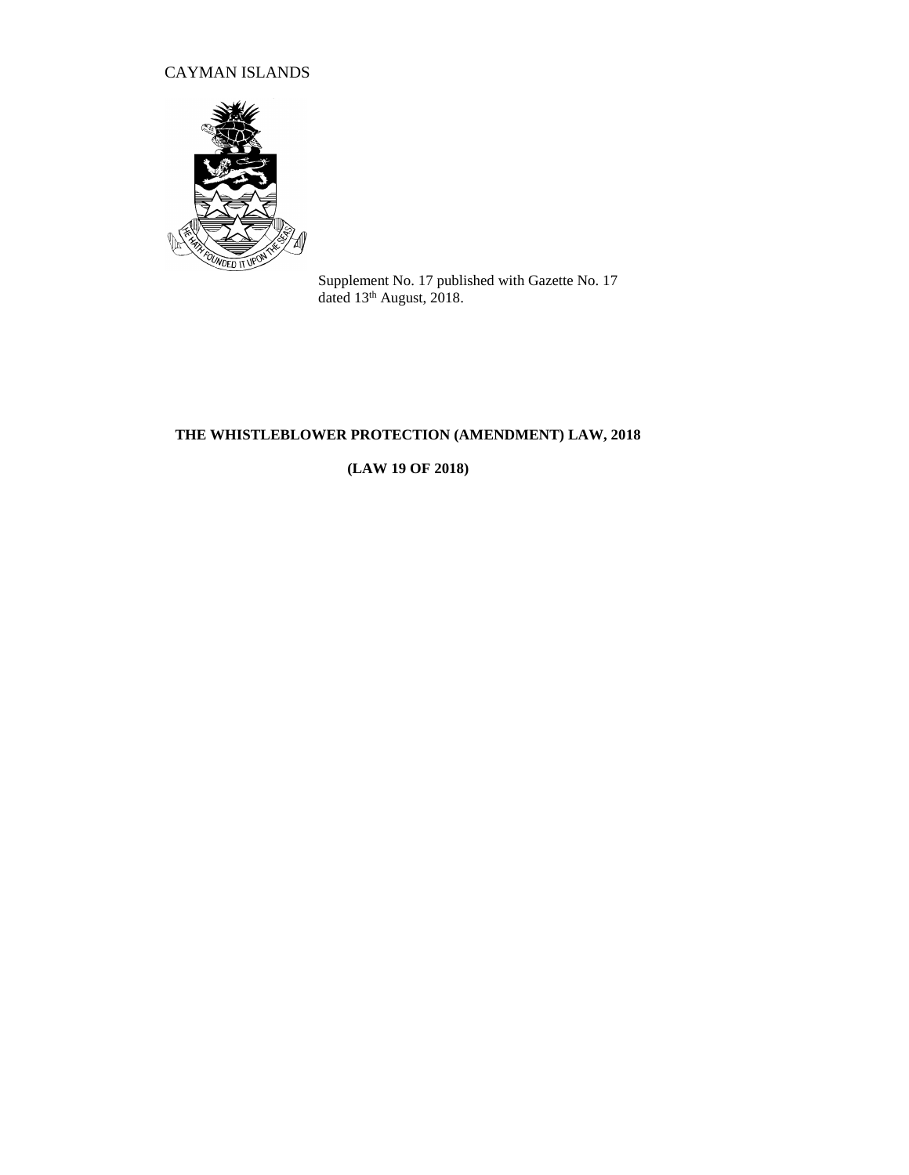## CAYMAN ISLANDS



Supplement No. 17 published with Gazette No. 17 dated 13<sup>th</sup> August, 2018.

## **THE WHISTLEBLOWER PROTECTION (AMENDMENT) LAW, 2018**

**(LAW 19 OF 2018)**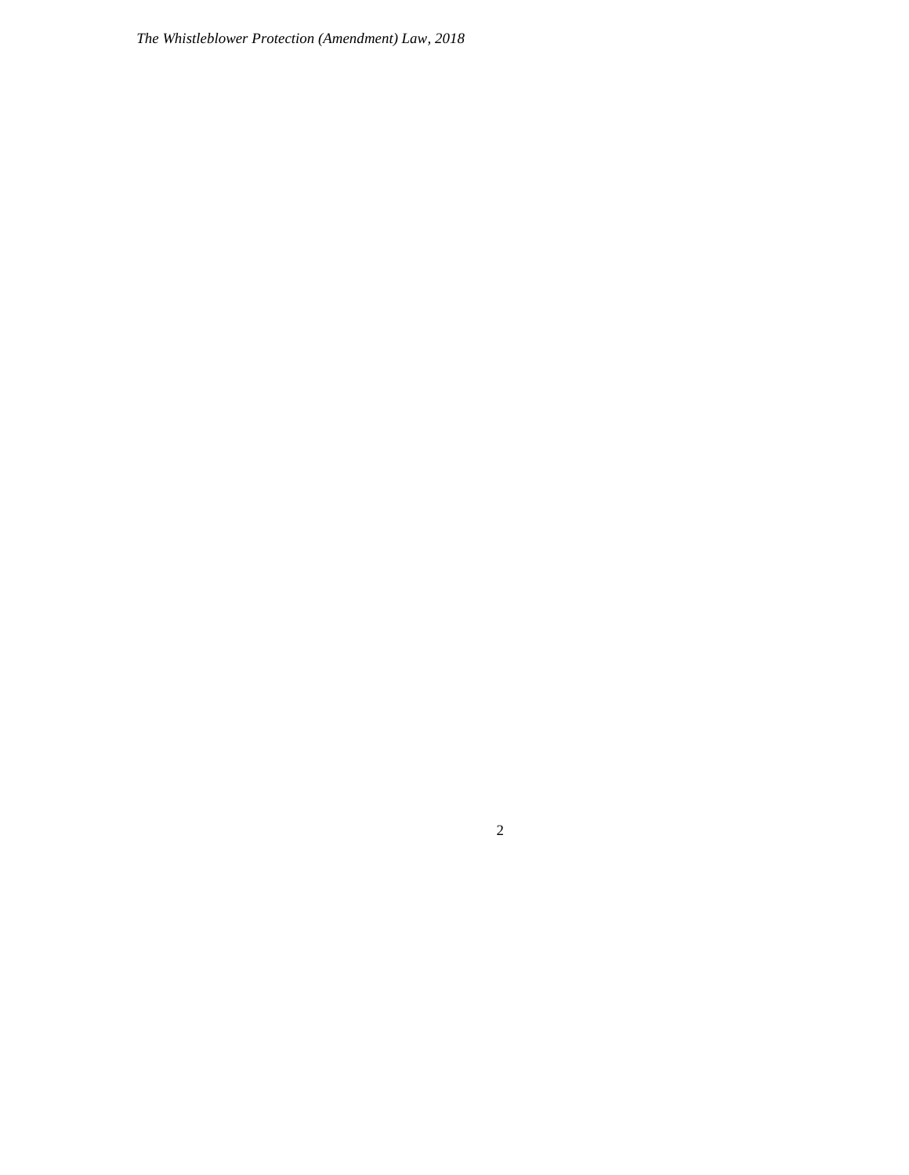*The Whistleblower Protection (Amendment) Law, 2018*

2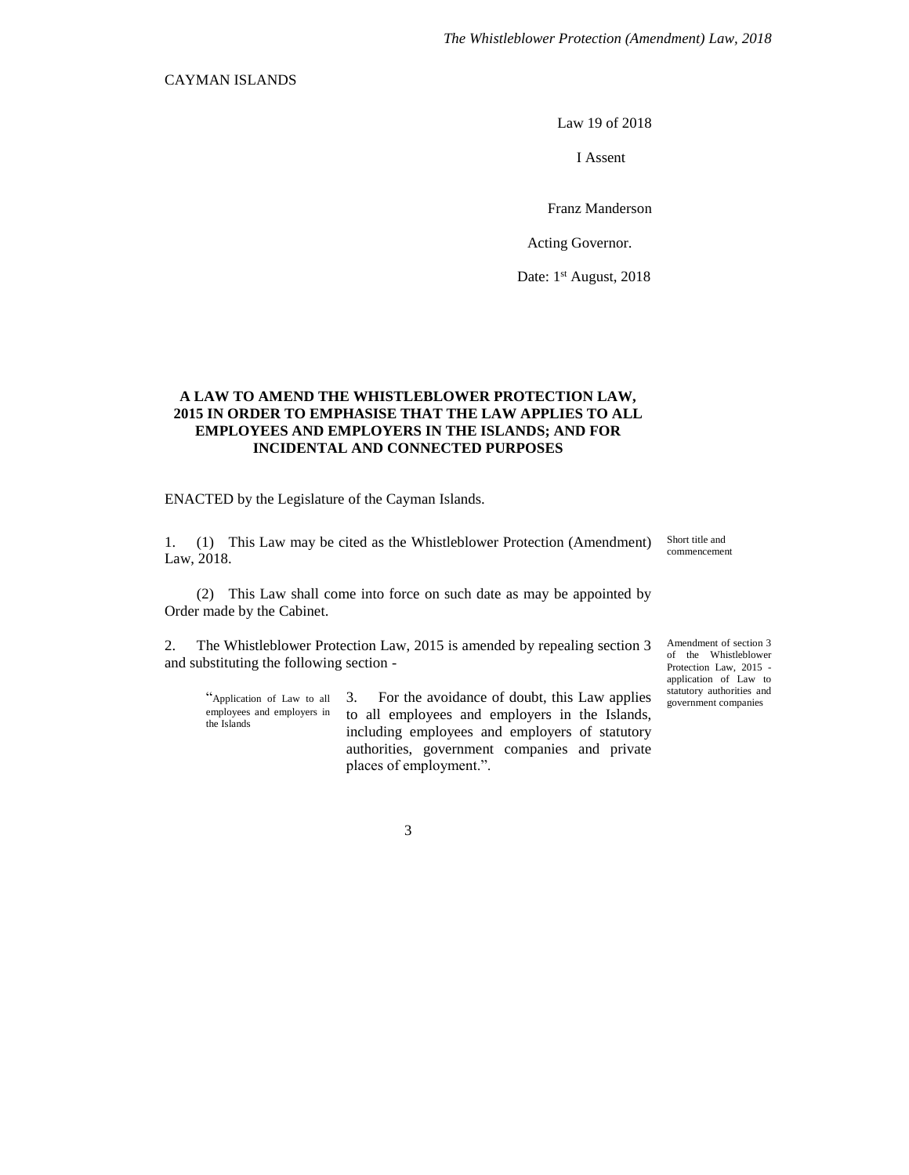## CAYMAN ISLANDS

Law 19 of 2018

I Assent

Franz Manderson

Acting Governor.

Date: 1<sup>st</sup> August, 2018

## **A LAW TO AMEND THE WHISTLEBLOWER PROTECTION LAW, 2015 IN ORDER TO EMPHASISE THAT THE LAW APPLIES TO ALL EMPLOYEES AND EMPLOYERS IN THE ISLANDS; AND FOR INCIDENTAL AND CONNECTED PURPOSES**

ENACTED by the Legislature of the Cayman Islands.

1. (1) This Law may be cited as the Whistleblower Protection (Amendment) Law, 2018.

Short title and commencement

(2) This Law shall come into force on such date as may be appointed by Order made by the Cabinet.

2. The Whistleblower Protection Law, 2015 is amended by repealing section 3 and substituting the following section -

employees and employers in the Islands

"Application of Law to all 3. For the avoidance of doubt, this Law applies to all employees and employers in the Islands, including employees and employers of statutory authorities, government companies and private places of employment.".

Amendment of section 3 of the Whistleblower Protection Law, 2015 application of Law to statutory authorities and government companies

3